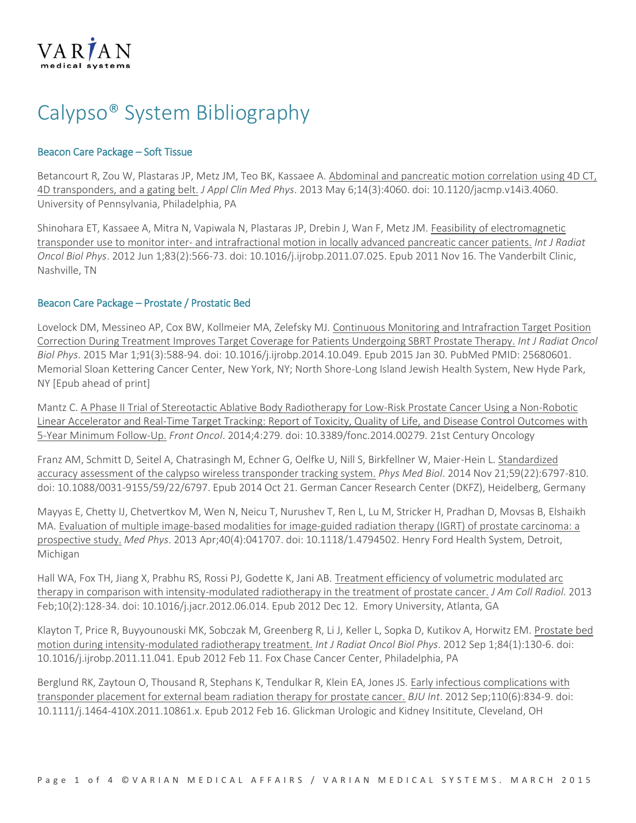

# Calypso® System Bibliography

## Beacon Care Package – Soft Tissue

Betancourt R, Zou W, Plastaras JP, Metz JM, Teo BK, Kassaee A[. Abdominal and pancreatic motion correlation using 4D CT,](http://www.pubmed.com/23652242)  [4D transponders, and a gating belt.](http://www.pubmed.com/23652242) *J Appl Clin Med Phys*. 2013 May 6;14(3):4060. doi: 10.1120/jacmp.v14i3.4060. University of Pennsylvania, Philadelphia, PA

Shinohara ET, Kassaee A, Mitra N, Vapiwala N, Plastaras JP, Drebin J, Wan F, Metz JM. [Feasibility of electromagnetic](http://www.pubmed.com/22099029)  transponder use to monitor inter- [and intrafractional motion in locally advanced pancreatic cancer patients.](http://www.pubmed.com/22099029) *Int J Radiat Oncol Biol Phys*. 2012 Jun 1;83(2):566-73. doi: 10.1016/j.ijrobp.2011.07.025. Epub 2011 Nov 16. The Vanderbilt Clinic, Nashville, TN

### Beacon Care Package – Prostate / Prostatic Bed

Lovelock DM, Messineo AP, Cox BW, Kollmeier MA, Zelefsky MJ. [Continuous Monitoring and Intrafraction Target Position](http://www.ncbi.nlm.nih.gov/pubmed/25680601)  [Correction During Treatment Improves Target Coverage for Patients Undergoing SBRT Prostate Therapy.](http://www.ncbi.nlm.nih.gov/pubmed/25680601) *Int J Radiat Oncol Biol Phys*. 2015 Mar 1;91(3):588-94. doi: 10.1016/j.ijrobp.2014.10.049. Epub 2015 Jan 30. PubMed PMID: 25680601. Memorial Sloan Kettering Cancer Center, New York, NY; North Shore-Long Island Jewish Health System, New Hyde Park, NY [Epub ahead of print]

Mantz C[. A Phase II Trial of Stereotactic Ablative Body Radiotherapy for Low-Risk Prostate Cancer Using a Non-Robotic](http://www.pubmed.com/25452933)  [Linear Accelerator and Real-Time Target Tracking: Report of Toxicity, Quality of Life, and Disease Control Outcomes with](http://www.pubmed.com/25452933)  [5-Year Minimum Follow-Up.](http://www.pubmed.com/25452933) *Front Oncol*. 2014;4:279. doi: 10.3389/fonc.2014.00279. 21st Century Oncology

Franz AM, Schmitt D, Seitel A, Chatrasingh M, Echner G, Oelfke U, Nill S, Birkfellner W, Maier-Hein L[. Standardized](http://www.pubmed.com/25332308)  [accuracy assessment of the calypso wireless transponder tracking system.](http://www.pubmed.com/25332308) *Phys Med Biol*. 2014 Nov 21;59(22):6797-810. doi: 10.1088/0031-9155/59/22/6797. Epub 2014 Oct 21. German Cancer Research Center (DKFZ), Heidelberg, Germany

Mayyas E, Chetty IJ, Chetvertkov M, Wen N, Neicu T, Nurushev T, Ren L, Lu M, Stricker H, Pradhan D, Movsas B, Elshaikh MA[. Evaluation of multiple image-based modalities for image-guided radiation therapy \(IGRT\) of prostate carcinoma: a](http://www.pubmed.com/23556877)  [prospective study.](http://www.pubmed.com/23556877) *Med Phys*. 2013 Apr;40(4):041707. doi: 10.1118/1.4794502. Henry Ford Health System, Detroit, Michigan

Hall WA, Fox TH, Jiang X, Prabhu RS, Rossi PJ, Godette K, Jani AB. [Treatment efficiency of volumetric modulated arc](http://www.pubmed.com/23245437)  [therapy in comparison with intensity-modulated radiotherapy in the treatment of prostate cancer.](http://www.pubmed.com/23245437) *J Am Coll Radiol*. 2013 Feb;10(2):128-34. doi: 10.1016/j.jacr.2012.06.014. Epub 2012 Dec 12. Emory University, Atlanta, GA

Klayton T, Price R, Buyyounouski MK, Sobczak M, Greenberg R, Li J, Keller L, Sopka D, Kutikov A, Horwitz EM. [Prostate bed](http://www.pubmed.com/22330987)  [motion during intensity-modulated radiotherapy treatment.](http://www.pubmed.com/22330987) *Int J Radiat Oncol Biol Phys*. 2012 Sep 1;84(1):130-6. doi: 10.1016/j.ijrobp.2011.11.041. Epub 2012 Feb 11. Fox Chase Cancer Center, Philadelphia, PA

Berglund RK, Zaytoun O, Thousand R, Stephans K, Tendulkar R, Klein EA, Jones JS. [Early infectious complications with](http://www.pubmed.com/22925704)  [transponder placement for external beam radiation therapy for prostate cancer.](http://www.pubmed.com/22925704) *BJU Int*. 2012 Sep;110(6):834-9. doi: 10.1111/j.1464-410X.2011.10861.x. Epub 2012 Feb 16. Glickman Urologic and Kidney Insititute, Cleveland, OH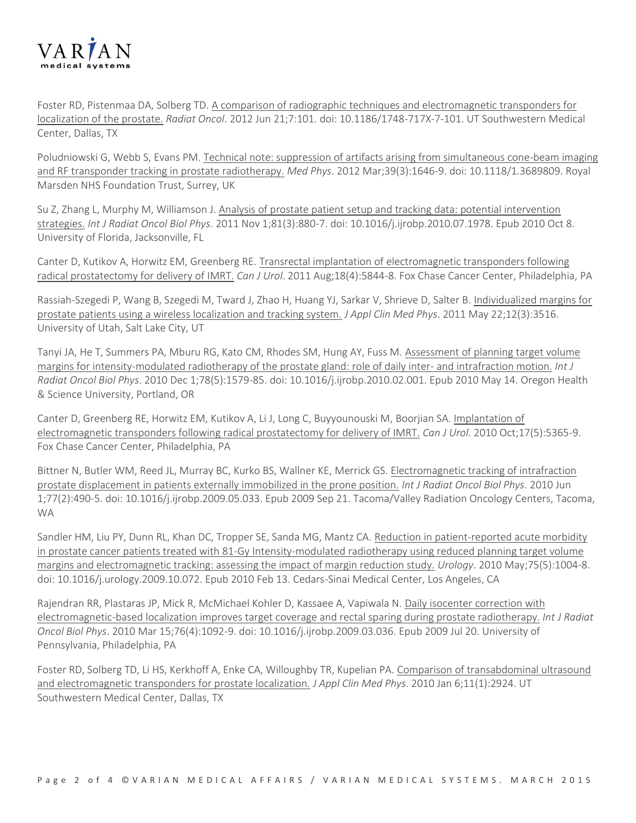

Foster RD, Pistenmaa DA, Solberg TD[. A comparison of radiographic techniques and electromagnetic transponders for](http://www.pubmed.com/22720845)  [localization of the prostate.](http://www.pubmed.com/22720845) *Radiat Oncol*. 2012 Jun 21;7:101. doi: 10.1186/1748-717X-7-101. UT Southwestern Medical Center, Dallas, TX

Poludniowski G, Webb S, Evans PM. [Technical note: suppression of artifacts arising from simultaneous cone-beam imaging](http://www.pubmed.com/22380396)  [and RF transponder tracking in prostate radiotherapy.](http://www.pubmed.com/22380396) *Med Phys*. 2012 Mar;39(3):1646-9. doi: 10.1118/1.3689809. Royal Marsden NHS Foundation Trust, Surrey, UK

Su Z, Zhang L, Murphy M, Williamson J[. Analysis of prostate patient setup and tracking data: potential intervention](http://www.pubmed.com/20934274)  [strategies.](http://www.pubmed.com/20934274) *Int J Radiat Oncol Biol Phys*. 2011 Nov 1;81(3):880-7. doi: 10.1016/j.ijrobp.2010.07.1978. Epub 2010 Oct 8. University of Florida, Jacksonville, FL

Canter D, Kutikov A, Horwitz EM, Greenberg RE[. Transrectal implantation of electromagnetic transponders following](http://www.pubmed.com/21854719)  [radical prostatectomy for delivery of IMRT.](http://www.pubmed.com/21854719) *Can J Urol*. 2011 Aug;18(4):5844-8. Fox Chase Cancer Center, Philadelphia, PA

Rassiah-Szegedi P, Wang B, Szegedi M, Tward J, Zhao H, Huang YJ, Sarkar V, Shrieve D, Salter B. [Individualized margins for](http://www.pubmed.com/21844865)  [prostate patients using a wireless localization and tracking system.](http://www.pubmed.com/21844865) *J Appl Clin Med Phys*. 2011 May 22;12(3):3516. University of Utah, Salt Lake City, UT

Tanyi JA, He T, Summers PA, Mburu RG, Kato CM, Rhodes SM, Hung AY, Fuss M. [Assessment of planning target volume](http://www.pubmed.com/20472357)  [margins for intensity-modulated radiotherapy of the prostate gland: role of daily inter-](http://www.pubmed.com/20472357) and intrafraction motion. *Int J Radiat Oncol Biol Phys*. 2010 Dec 1;78(5):1579-85. doi: 10.1016/j.ijrobp.2010.02.001. Epub 2010 May 14. Oregon Health & Science University, Portland, OR

Canter D, Greenberg RE, Horwitz EM, Kutikov A, Li J, Long C, Buyyounouski M, Boorjian SA[. Implantation of](http://www.pubmed.com/20974028)  [electromagnetic transponders following radical prostatectomy for delivery of IMRT.](http://www.pubmed.com/20974028) *Can J Urol*. 2010 Oct;17(5):5365-9. Fox Chase Cancer Center, Philadelphia, PA

Bittner N, Butler WM, Reed JL, Murray BC, Kurko BS, Wallner KE, Merrick GS. [Electromagnetic tracking of intrafraction](http://www.pubmed.com/19775826)  [prostate displacement in patients externally immobilized in the prone position.](http://www.pubmed.com/19775826) *Int J Radiat Oncol Biol Phys*. 2010 Jun 1;77(2):490-5. doi: 10.1016/j.ijrobp.2009.05.033. Epub 2009 Sep 21. Tacoma/Valley Radiation Oncology Centers, Tacoma, WA

Sandler HM, Liu PY, Dunn RL, Khan DC, Tropper SE, Sanda MG, Mantz CA. Reduction in patient-reported acute morbidity [in prostate cancer patients treated with 81-Gy Intensity-modulated radiotherapy using reduced planning target volume](http://www.pubmed.com/20153881)  [margins and electromagnetic tracking: assessing the impact of margin reduction study.](http://www.pubmed.com/20153881) *Urology*. 2010 May;75(5):1004-8. doi: 10.1016/j.urology.2009.10.072. Epub 2010 Feb 13. Cedars-Sinai Medical Center, Los Angeles, CA

Rajendran RR, Plastaras JP, Mick R, McMichael Kohler D, Kassaee A, Vapiwala N. [Daily isocenter correction with](http://www.pubmed.com/19625136)  [electromagnetic-based localization improves target coverage and rectal sparing during prostate radiotherapy.](http://www.pubmed.com/19625136) *Int J Radiat Oncol Biol Phys*. 2010 Mar 15;76(4):1092-9. doi: 10.1016/j.ijrobp.2009.03.036. Epub 2009 Jul 20. University of Pennsylvania, Philadelphia, PA

Foster RD, Solberg TD, Li HS, Kerkhoff A, Enke CA, Willoughby TR, Kupelian PA. Comparison of transabdominal ultrasound [and electromagnetic transponders for prostate localization.](http://www.pubmed.com/20160686) *J Appl Clin Med Phys*. 2010 Jan 6;11(1):2924. UT Southwestern Medical Center, Dallas, TX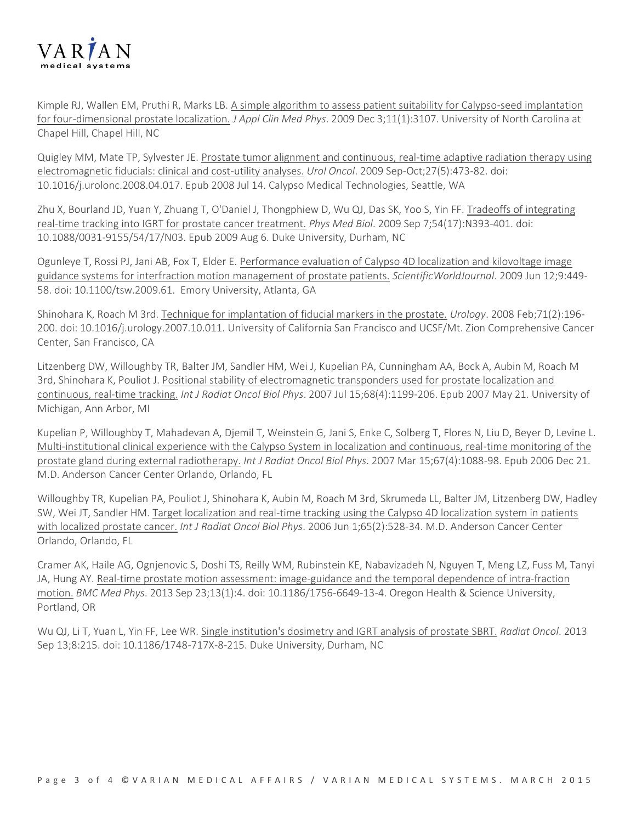

Kimple RJ, Wallen EM, Pruthi R, Marks LB. [A simple algorithm to assess patient suitability for Calypso-seed implantation](http://www.pubmed.com/20160683)  [for four-dimensional prostate localization.](http://www.pubmed.com/20160683) *J Appl Clin Med Phys*. 2009 Dec 3;11(1):3107. University of North Carolina at Chapel Hill, Chapel Hill, NC

Quigley MM, Mate TP, Sylvester JE. Prostate tumor alignment and continuous, real-time adaptive radiation therapy using [electromagnetic fiducials: clinical and cost-utility analyses.](http://www.pubmed.com/18625565) *Urol Oncol*. 2009 Sep-Oct;27(5):473-82. doi: 10.1016/j.urolonc.2008.04.017. Epub 2008 Jul 14. Calypso Medical Technologies, Seattle, WA

Zhu X, Bourland JD, Yuan Y, Zhuang T, O'Daniel J, Thongphiew D, Wu QJ, Das SK, Yoo S, Yin FF. [Tradeoffs of integrating](http://www.pubmed.com/19661570)  [real-time tracking into IGRT for prostate cancer treatment.](http://www.pubmed.com/19661570) *Phys Med Biol*. 2009 Sep 7;54(17):N393-401. doi: 10.1088/0031-9155/54/17/N03. Epub 2009 Aug 6. Duke University, Durham, NC

Ogunleye T, Rossi PJ, Jani AB, Fox T, Elder E. Performance evaluation of Calypso 4D localization and kilovoltage image [guidance systems for interfraction motion management of prostate patients.](http://www.pubmed.com/19526184) *ScientificWorldJournal*. 2009 Jun 12;9:449- 58. doi: 10.1100/tsw.2009.61. Emory University, Atlanta, GA

Shinohara K, Roach M 3rd. [Technique for implantation of fiducial markers in the prostate.](http://www.pubmed.com/18308082) *Urology*. 2008 Feb;71(2):196- 200. doi: 10.1016/j.urology.2007.10.011. University of California San Francisco and UCSF/Mt. Zion Comprehensive Cancer Center, San Francisco, CA

Litzenberg DW, Willoughby TR, Balter JM, Sandler HM, Wei J, Kupelian PA, Cunningham AA, Bock A, Aubin M, Roach M 3rd, Shinohara K, Pouliot J. [Positional stability of electromagnetic transponders used for prostate localization and](http://www.pubmed.com/17513060)  [continuous, real-time tracking.](http://www.pubmed.com/17513060) *Int J Radiat Oncol Biol Phys*. 2007 Jul 15;68(4):1199-206. Epub 2007 May 21. University of Michigan, Ann Arbor, MI

Kupelian P, Willoughby T, Mahadevan A, Djemil T, Weinstein G, Jani S, Enke C, Solberg T, Flores N, Liu D, Beyer D, Levine L. [Multi-institutional clinical experience with the Calypso System in localization and continuous, real-time monitoring of the](http://www.pubmed.com/17187940)  [prostate gland during external radiotherapy.](http://www.pubmed.com/17187940) *Int J Radiat Oncol Biol Phys*. 2007 Mar 15;67(4):1088-98. Epub 2006 Dec 21. M.D. Anderson Cancer Center Orlando, Orlando, FL

Willoughby TR, Kupelian PA, Pouliot J, Shinohara K, Aubin M, Roach M 3rd, Skrumeda LL, Balter JM, Litzenberg DW, Hadley SW, Wei JT, Sandler HM. [Target localization and real-time tracking using the Calypso 4D localization system in patients](http://www.pubmed.com/16690435)  [with localized prostate cancer.](http://www.pubmed.com/16690435) *Int J Radiat Oncol Biol Phys*. 2006 Jun 1;65(2):528-34. M.D. Anderson Cancer Center Orlando, Orlando, FL

Cramer AK, Haile AG, Ognjenovic S, Doshi TS, Reilly WM, Rubinstein KE, Nabavizadeh N, Nguyen T, Meng LZ, Fuss M, Tanyi JA, Hung AY. [Real-time prostate motion assessment: image-guidance and the temporal dependence of intra-fraction](http://www.pubmed.com/24059584)  [motion.](http://www.pubmed.com/24059584) *BMC Med Phys*. 2013 Sep 23;13(1):4. doi: 10.1186/1756-6649-13-4. Oregon Health & Science University, Portland, OR

Wu QJ, Li T, Yuan L, Yin FF, Lee WR[. Single institution's dosimetry and IGRT analysis of prostate SBRT.](http://www.pubmed.com/24034234) *Radiat Oncol*. 2013 Sep 13;8:215. doi: 10.1186/1748-717X-8-215. Duke University, Durham, NC